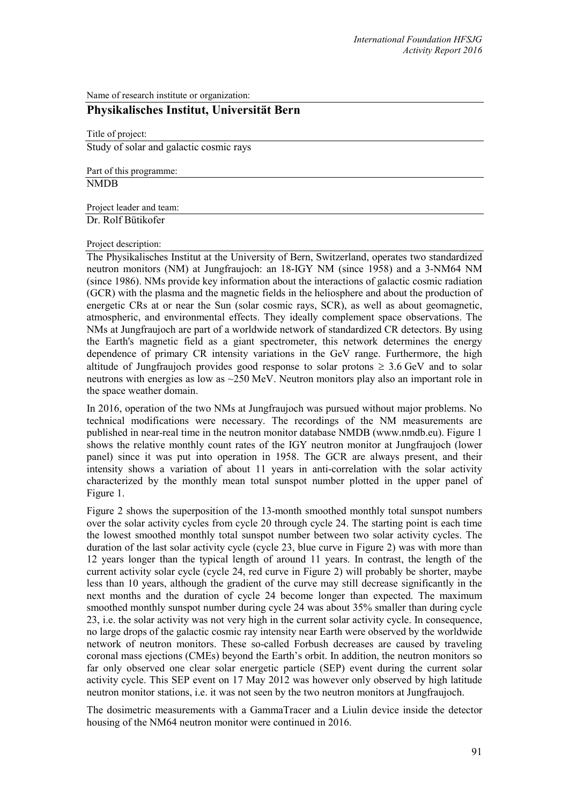Name of research institute or organization:

## **Physikalisches Institut, Universität Bern**

Title of project: Study of solar and galactic cosmic rays

Part of this programme: NMDB

Project leader and team:

Dr. Rolf Bütikofer

## Project description:

The Physikalisches Institut at the University of Bern, Switzerland, operates two standardized neutron monitors (NM) at Jungfraujoch: an 18-IGY NM (since 1958) and a 3-NM64 NM (since 1986). NMs provide key information about the interactions of galactic cosmic radiation (GCR) with the plasma and the magnetic fields in the heliosphere and about the production of energetic CRs at or near the Sun (solar cosmic rays, SCR), as well as about geomagnetic, atmospheric, and environmental effects. They ideally complement space observations. The NMs at Jungfraujoch are part of a worldwide network of standardized CR detectors. By using the Earth's magnetic field as a giant spectrometer, this network determines the energy dependence of primary CR intensity variations in the GeV range. Furthermore, the high altitude of Jungfraujoch provides good response to solar protons  $\geq 3.6$  GeV and to solar neutrons with energies as low as ~250 MeV. Neutron monitors play also an important role in the space weather domain.

In 2016, operation of the two NMs at Jungfraujoch was pursued without major problems. No technical modifications were necessary. The recordings of the NM measurements are published in near-real time in the neutron monitor database NMDB [\(www.nmdb.eu\)](http://www.nmdb.eu/). Figure 1 shows the relative monthly count rates of the IGY neutron monitor at Jungfraujoch (lower panel) since it was put into operation in 1958. The GCR are always present, and their intensity shows a variation of about 11 years in anti-correlation with the solar activity characterized by the monthly mean total sunspot number plotted in the upper panel of Figure 1.

Figure 2 shows the superposition of the 13-month smoothed monthly total sunspot numbers over the solar activity cycles from cycle 20 through cycle 24. The starting point is each time the lowest smoothed monthly total sunspot number between two solar activity cycles. The duration of the last solar activity cycle (cycle 23, blue curve in Figure 2) was with more than 12 years longer than the typical length of around 11 years. In contrast, the length of the current activity solar cycle (cycle 24, red curve in Figure 2) will probably be shorter, maybe less than 10 years, although the gradient of the curve may still decrease significantly in the next months and the duration of cycle 24 become longer than expected. The maximum smoothed monthly sunspot number during cycle 24 was about 35% smaller than during cycle 23, i.e. the solar activity was not very high in the current solar activity cycle. In consequence, no large drops of the galactic cosmic ray intensity near Earth were observed by the worldwide network of neutron monitors. These so-called Forbush decreases are caused by traveling coronal mass ejections (CMEs) beyond the Earth's orbit. In addition, the neutron monitors so far only observed one clear solar energetic particle (SEP) event during the current solar activity cycle. This SEP event on 17 May 2012 was however only observed by high latitude neutron monitor stations, i.e. it was not seen by the two neutron monitors at Jungfraujoch.

The dosimetric measurements with a GammaTracer and a Liulin device inside the detector housing of the NM64 neutron monitor were continued in 2016.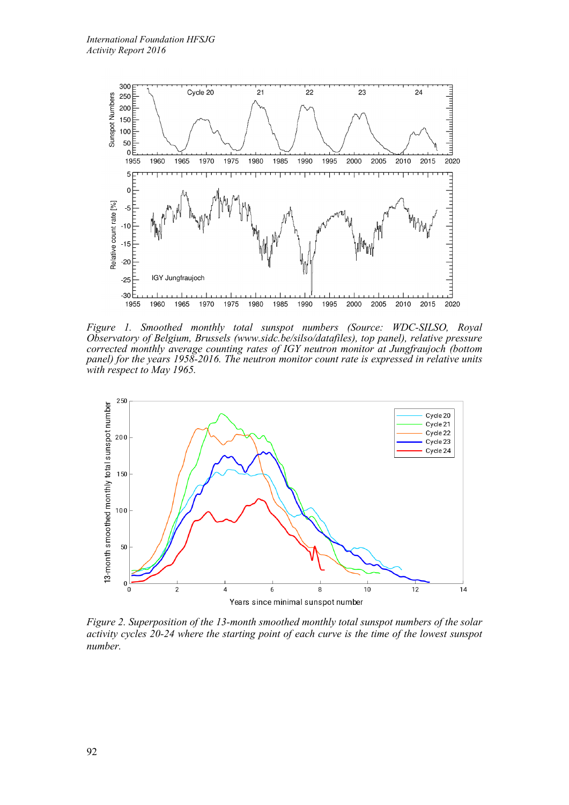

*Figure 1. Smoothed monthly total sunspot numbers (Source: WDC-SILSO, Royal Observatory of Belgium, Brussels (www.sidc.be/silso/datafiles), top panel), relative pressure corrected monthly average counting rates of IGY neutron monitor at Jungfraujoch (bottom panel) for the years 1958-2016. The neutron monitor count rate is expressed in relative units with respect to May 1965.*



*Figure 2. Superposition of the 13-month smoothed monthly total sunspot numbers of the solar activity cycles 20-24 where the starting point of each curve is the time of the lowest sunspot number.*